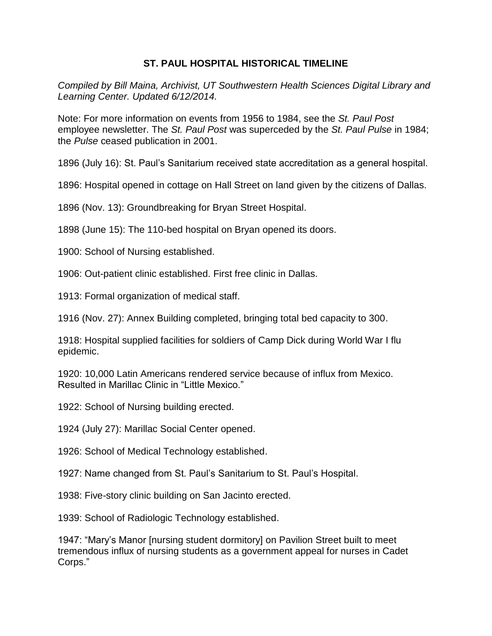## **ST. PAUL HOSPITAL HISTORICAL TIMELINE**

*Compiled by Bill Maina, Archivist, UT Southwestern Health Sciences Digital Library and Learning Center. Updated 6/12/2014.*

Note: For more information on events from 1956 to 1984, see the *St. Paul Post* employee newsletter. The *St. Paul Post* was superceded by the *St. Paul Pulse* in 1984; the *Pulse* ceased publication in 2001.

1896 (July 16): St. Paul's Sanitarium received state accreditation as a general hospital.

1896: Hospital opened in cottage on Hall Street on land given by the citizens of Dallas.

1896 (Nov. 13): Groundbreaking for Bryan Street Hospital.

1898 (June 15): The 110-bed hospital on Bryan opened its doors.

1900: School of Nursing established.

1906: Out-patient clinic established. First free clinic in Dallas.

1913: Formal organization of medical staff.

1916 (Nov. 27): Annex Building completed, bringing total bed capacity to 300.

1918: Hospital supplied facilities for soldiers of Camp Dick during World War I flu epidemic.

1920: 10,000 Latin Americans rendered service because of influx from Mexico. Resulted in Marillac Clinic in "Little Mexico."

1922: School of Nursing building erected.

1924 (July 27): Marillac Social Center opened.

1926: School of Medical Technology established.

1927: Name changed from St. Paul's Sanitarium to St. Paul's Hospital.

1938: Five-story clinic building on San Jacinto erected.

1939: School of Radiologic Technology established.

1947: "Mary's Manor [nursing student dormitory] on Pavilion Street built to meet tremendous influx of nursing students as a government appeal for nurses in Cadet Corps."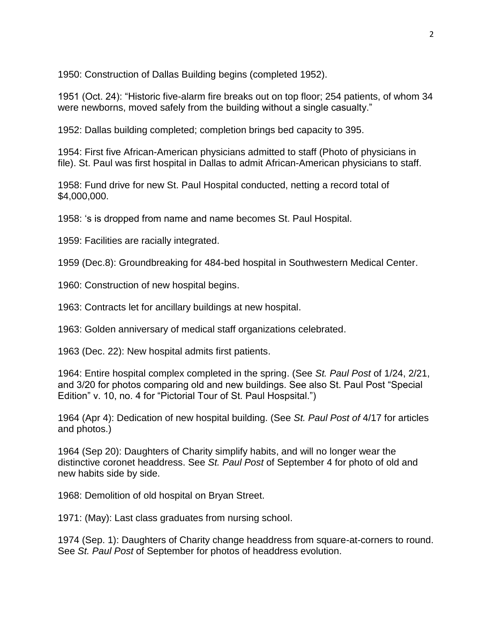1950: Construction of Dallas Building begins (completed 1952).

1951 (Oct. 24): "Historic five-alarm fire breaks out on top floor; 254 patients, of whom 34 were newborns, moved safely from the building without a single casualty."

1952: Dallas building completed; completion brings bed capacity to 395.

1954: First five African-American physicians admitted to staff (Photo of physicians in file). St. Paul was first hospital in Dallas to admit African-American physicians to staff.

1958: Fund drive for new St. Paul Hospital conducted, netting a record total of \$4,000,000.

1958: 's is dropped from name and name becomes St. Paul Hospital.

1959: Facilities are racially integrated.

1959 (Dec.8): Groundbreaking for 484-bed hospital in Southwestern Medical Center.

1960: Construction of new hospital begins.

1963: Contracts let for ancillary buildings at new hospital.

1963: Golden anniversary of medical staff organizations celebrated.

1963 (Dec. 22): New hospital admits first patients.

1964: Entire hospital complex completed in the spring. (See *St. Paul Post* of 1/24, 2/21, and 3/20 for photos comparing old and new buildings. See also St. Paul Post "Special Edition" v. 10, no. 4 for "Pictorial Tour of St. Paul Hospsital.")

1964 (Apr 4): Dedication of new hospital building. (See *St. Paul Post of* 4/17 for articles and photos.)

1964 (Sep 20): Daughters of Charity simplify habits, and will no longer wear the distinctive coronet headdress. See *St. Paul Post* of September 4 for photo of old and new habits side by side.

1968: Demolition of old hospital on Bryan Street.

1971: (May): Last class graduates from nursing school.

1974 (Sep. 1): Daughters of Charity change headdress from square-at-corners to round. See *St. Paul Post* of September for photos of headdress evolution.